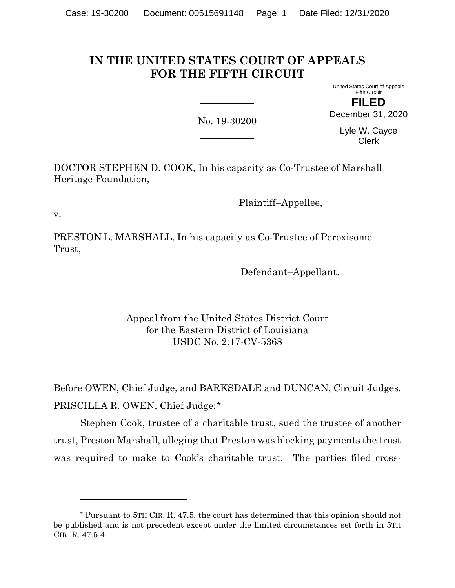# **IN THE UNITED STATES COURT OF APPEALS FOR THE FIFTH CIRCUIT**

United States Court of Appeals Fifth Circuit

No. 19-30200

**FILED** December 31, 2020

> Lyle W. Cayce Clerk

DOCTOR STEPHEN D. COOK, In his capacity as Co-Trustee of Marshall Heritage Foundation,

Plaintiff–Appellee,

v.

PRESTON L. MARSHALL, In his capacity as Co-Trustee of Peroxisome Trust,

Defendant–Appellant.

Appeal from the United States District Court for the Eastern District of Louisiana USDC No. 2:17-CV-5368

Before OWEN, Chief Judge, and BARKSDALE and DUNCAN, Circuit Judges. PRISCILLA R. OWEN, Chief Judge:[\\*](#page-0-0)

Stephen Cook, trustee of a charitable trust, sued the trustee of another trust, Preston Marshall, alleging that Preston was blocking payments the trust was required to make to Cook's charitable trust. The parties filed cross-

<span id="page-0-0"></span><sup>\*</sup> Pursuant to 5TH CIR. R. 47.5, the court has determined that this opinion should not be published and is not precedent except under the limited circumstances set forth in 5TH CIR. R. 47.5.4.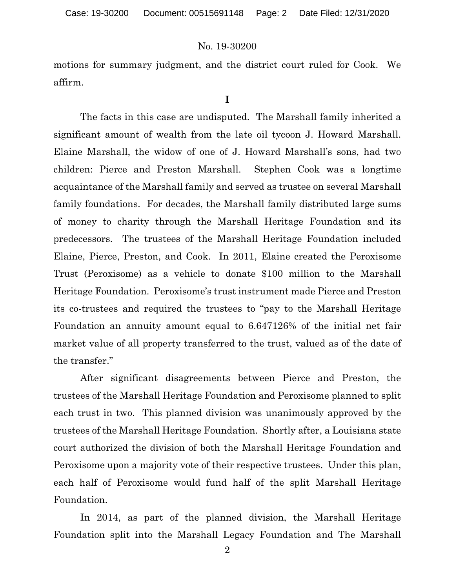motions for summary judgment, and the district court ruled for Cook. We affirm.

**I**

The facts in this case are undisputed. The Marshall family inherited a significant amount of wealth from the late oil tycoon J. Howard Marshall. Elaine Marshall, the widow of one of J. Howard Marshall's sons, had two children: Pierce and Preston Marshall. Stephen Cook was a longtime acquaintance of the Marshall family and served as trustee on several Marshall family foundations. For decades, the Marshall family distributed large sums of money to charity through the Marshall Heritage Foundation and its predecessors. The trustees of the Marshall Heritage Foundation included Elaine, Pierce, Preston, and Cook. In 2011, Elaine created the Peroxisome Trust (Peroxisome) as a vehicle to donate \$100 million to the Marshall Heritage Foundation. Peroxisome's trust instrument made Pierce and Preston its co-trustees and required the trustees to "pay to the Marshall Heritage Foundation an annuity amount equal to 6.647126% of the initial net fair market value of all property transferred to the trust, valued as of the date of the transfer."

After significant disagreements between Pierce and Preston, the trustees of the Marshall Heritage Foundation and Peroxisome planned to split each trust in two. This planned division was unanimously approved by the trustees of the Marshall Heritage Foundation. Shortly after, a Louisiana state court authorized the division of both the Marshall Heritage Foundation and Peroxisome upon a majority vote of their respective trustees. Under this plan, each half of Peroxisome would fund half of the split Marshall Heritage Foundation.

In 2014, as part of the planned division, the Marshall Heritage Foundation split into the Marshall Legacy Foundation and The Marshall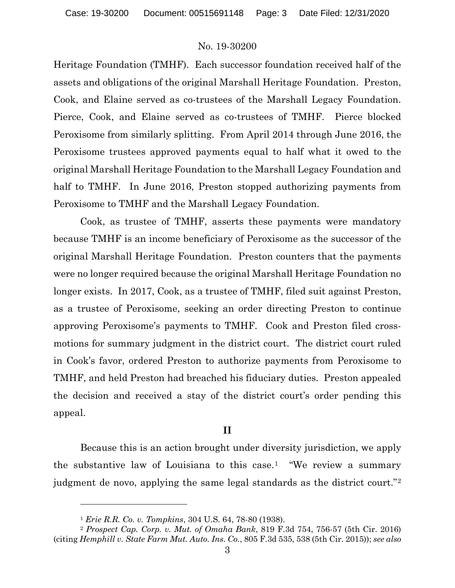Heritage Foundation (TMHF). Each successor foundation received half of the assets and obligations of the original Marshall Heritage Foundation. Preston, Cook, and Elaine served as co-trustees of the Marshall Legacy Foundation. Pierce, Cook, and Elaine served as co-trustees of TMHF. Pierce blocked Peroxisome from similarly splitting. From April 2014 through June 2016, the Peroxisome trustees approved payments equal to half what it owed to the original Marshall Heritage Foundation to the Marshall Legacy Foundation and half to TMHF. In June 2016, Preston stopped authorizing payments from Peroxisome to TMHF and the Marshall Legacy Foundation.

Cook, as trustee of TMHF, asserts these payments were mandatory because TMHF is an income beneficiary of Peroxisome as the successor of the original Marshall Heritage Foundation. Preston counters that the payments were no longer required because the original Marshall Heritage Foundation no longer exists. In 2017, Cook, as a trustee of TMHF, filed suit against Preston, as a trustee of Peroxisome, seeking an order directing Preston to continue approving Peroxisome's payments to TMHF. Cook and Preston filed crossmotions for summary judgment in the district court. The district court ruled in Cook's favor, ordered Preston to authorize payments from Peroxisome to TMHF, and held Preston had breached his fiduciary duties. Preston appealed the decision and received a stay of the district court's order pending this appeal.

# **II**

Because this is an action brought under diversity jurisdiction, we apply the substantive law of Louisiana to this case.[1](#page-2-0) "We review a summary judgment de novo, applying the same legal standards as the district court."[2](#page-2-1)

<sup>1</sup> *Erie R.R. Co. v. Tompkins*, 304 U.S. 64, 78-80 (1938).

<span id="page-2-1"></span><span id="page-2-0"></span><sup>2</sup> *Prospect Cap. Corp. v. Mut. of Omaha Bank*, 819 F.3d 754, 756-57 (5th Cir. 2016) (citing *Hemphill v. State Farm Mut. Auto. Ins. Co.*, 805 F.3d 535, 538 (5th Cir. 2015)); *see also*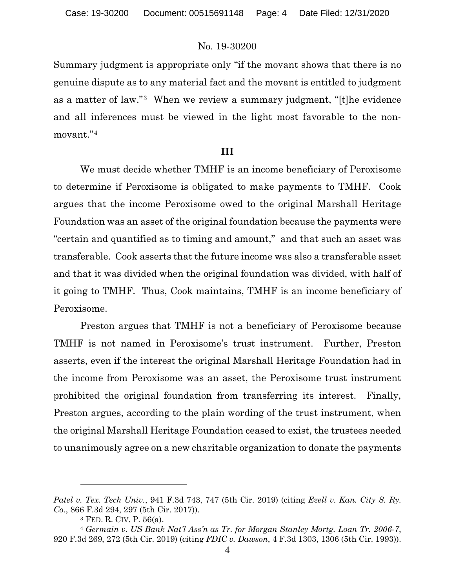Summary judgment is appropriate only "if the movant shows that there is no genuine dispute as to any material fact and the movant is entitled to judgment as a matter of law."[3](#page-3-0) When we review a summary judgment, "[t]he evidence and all inferences must be viewed in the light most favorable to the nonmovant."[4](#page-3-1)

### **III**

We must decide whether TMHF is an income beneficiary of Peroxisome to determine if Peroxisome is obligated to make payments to TMHF. Cook argues that the income Peroxisome owed to the original Marshall Heritage Foundation was an asset of the original foundation because the payments were "certain and quantified as to timing and amount," and that such an asset was transferable. Cook asserts that the future income was also a transferable asset and that it was divided when the original foundation was divided, with half of it going to TMHF. Thus, Cook maintains, TMHF is an income beneficiary of Peroxisome.

Preston argues that TMHF is not a beneficiary of Peroxisome because TMHF is not named in Peroxisome's trust instrument. Further, Preston asserts, even if the interest the original Marshall Heritage Foundation had in the income from Peroxisome was an asset, the Peroxisome trust instrument prohibited the original foundation from transferring its interest. Finally, Preston argues, according to the plain wording of the trust instrument, when the original Marshall Heritage Foundation ceased to exist, the trustees needed to unanimously agree on a new charitable organization to donate the payments

*Patel v. Tex. Tech Univ.*, 941 F.3d 743, 747 (5th Cir. 2019) (citing *Ezell v. Kan. City S. Ry. Co.*, 866 F.3d 294, 297 (5th Cir. 2017)).

<sup>3</sup> FED. R. CIV. P. 56(a).

<span id="page-3-1"></span><span id="page-3-0"></span><sup>4</sup> *Germain v. US Bank Nat'l Ass'n as Tr. for Morgan Stanley Mortg. Loan Tr. 2006-7*, 920 F.3d 269, 272 (5th Cir. 2019) (citing *FDIC v. Dawson*, 4 F.3d 1303, 1306 (5th Cir. 1993)).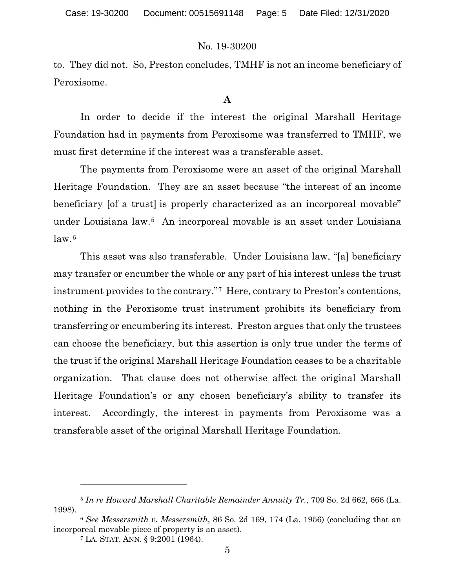to. They did not. So, Preston concludes, TMHF is not an income beneficiary of Peroxisome.

## **A**

In order to decide if the interest the original Marshall Heritage Foundation had in payments from Peroxisome was transferred to TMHF, we must first determine if the interest was a transferable asset.

The payments from Peroxisome were an asset of the original Marshall Heritage Foundation. They are an asset because "the interest of an income beneficiary [of a trust] is properly characterized as an incorporeal movable" under Louisiana law.[5](#page-4-0) An incorporeal movable is an asset under Louisiana  $law<sup>6</sup>$  $law<sup>6</sup>$  $law<sup>6</sup>$ 

This asset was also transferable. Under Louisiana law, "[a] beneficiary may transfer or encumber the whole or any part of his interest unless the trust instrument provides to the contrary."[7](#page-4-2) Here, contrary to Preston's contentions, nothing in the Peroxisome trust instrument prohibits its beneficiary from transferring or encumbering its interest. Preston argues that only the trustees can choose the beneficiary, but this assertion is only true under the terms of the trust if the original Marshall Heritage Foundation ceases to be a charitable organization. That clause does not otherwise affect the original Marshall Heritage Foundation's or any chosen beneficiary's ability to transfer its interest. Accordingly, the interest in payments from Peroxisome was a transferable asset of the original Marshall Heritage Foundation.

<span id="page-4-0"></span><sup>5</sup> *In re Howard Marshall Charitable Remainder Annuity Tr.*, 709 So. 2d 662, 666 (La. 1998).

<span id="page-4-2"></span><span id="page-4-1"></span><sup>6</sup> *See Messersmith v. Messersmith*, 86 So. 2d 169, 174 (La. 1956) (concluding that an incorporeal movable piece of property is an asset).

<sup>7</sup> LA. STAT. ANN. § 9:2001 (1964).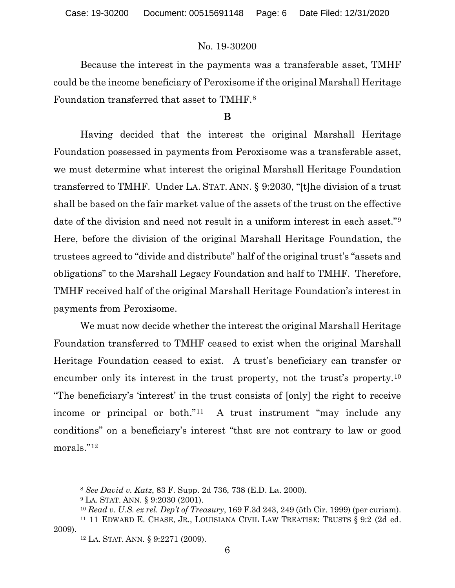Because the interest in the payments was a transferable asset, TMHF could be the income beneficiary of Peroxisome if the original Marshall Heritage Foundation transferred that asset to TMHF.[8](#page-5-0)

### **B**

Having decided that the interest the original Marshall Heritage Foundation possessed in payments from Peroxisome was a transferable asset, we must determine what interest the original Marshall Heritage Foundation transferred to TMHF. Under LA. STAT. ANN. § 9:2030, "[t]he division of a trust shall be based on the fair market value of the assets of the trust on the effective date of the division and need not result in a uniform interest in each asset."[9](#page-5-1) Here, before the division of the original Marshall Heritage Foundation, the trustees agreed to "divide and distribute" half of the original trust's "assets and obligations" to the Marshall Legacy Foundation and half to TMHF. Therefore, TMHF received half of the original Marshall Heritage Foundation's interest in payments from Peroxisome.

We must now decide whether the interest the original Marshall Heritage Foundation transferred to TMHF ceased to exist when the original Marshall Heritage Foundation ceased to exist. A trust's beneficiary can transfer or encumber only its interest in the trust property, not the trust's property.<sup>[10](#page-5-2)</sup> "The beneficiary's 'interest' in the trust consists of [only] the right to receive income or principal or both."[11](#page-5-3) A trust instrument "may include any conditions" on a beneficiary's interest "that are not contrary to law or good morals."[12](#page-5-4)

<sup>8</sup> *See David v. Katz*, 83 F. Supp. 2d 736, 738 (E.D. La. 2000).

<sup>9</sup> LA. STAT. ANN. § 9:2030 (2001).

<sup>10</sup> *Read v. U.S. ex rel. Dep't of Treasury*, 169 F.3d 243, 249 (5th Cir. 1999) (per curiam).

<span id="page-5-4"></span><span id="page-5-3"></span><span id="page-5-2"></span><span id="page-5-1"></span><span id="page-5-0"></span><sup>11</sup> 11 EDWARD E. CHASE, JR., LOUISIANA CIVIL LAW TREATISE: TRUSTS § 9:2 (2d ed. 2009).

<sup>12</sup> LA. STAT. ANN. § 9:2271 (2009).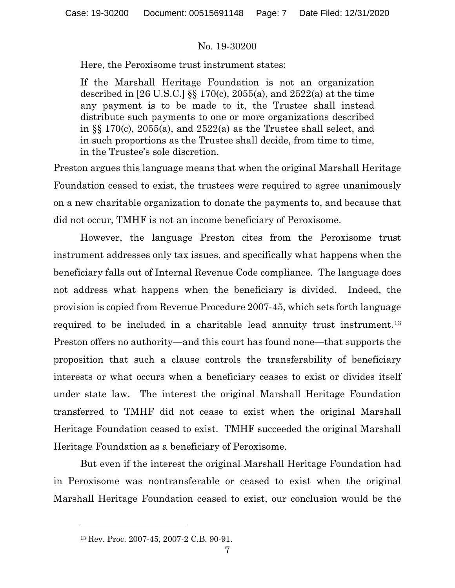Here, the Peroxisome trust instrument states:

If the Marshall Heritage Foundation is not an organization described in [26 U.S.C.]  $\S$  170(c), 2055(a), and 2522(a) at the time any payment is to be made to it, the Trustee shall instead distribute such payments to one or more organizations described in §§ 170(c), 2055(a), and 2522(a) as the Trustee shall select, and in such proportions as the Trustee shall decide, from time to time, in the Trustee's sole discretion.

Preston argues this language means that when the original Marshall Heritage Foundation ceased to exist, the trustees were required to agree unanimously on a new charitable organization to donate the payments to, and because that did not occur, TMHF is not an income beneficiary of Peroxisome.

However, the language Preston cites from the Peroxisome trust instrument addresses only tax issues, and specifically what happens when the beneficiary falls out of Internal Revenue Code compliance. The language does not address what happens when the beneficiary is divided. Indeed, the provision is copied from Revenue Procedure 2007-45, which sets forth language required to be included in a charitable lead annuity trust instrument.[13](#page-6-0) Preston offers no authority—and this court has found none—that supports the proposition that such a clause controls the transferability of beneficiary interests or what occurs when a beneficiary ceases to exist or divides itself under state law. The interest the original Marshall Heritage Foundation transferred to TMHF did not cease to exist when the original Marshall Heritage Foundation ceased to exist. TMHF succeeded the original Marshall Heritage Foundation as a beneficiary of Peroxisome.

But even if the interest the original Marshall Heritage Foundation had in Peroxisome was nontransferable or ceased to exist when the original Marshall Heritage Foundation ceased to exist, our conclusion would be the

<span id="page-6-0"></span><sup>13</sup> Rev. Proc. 2007-45, 2007-2 C.B. 90-91.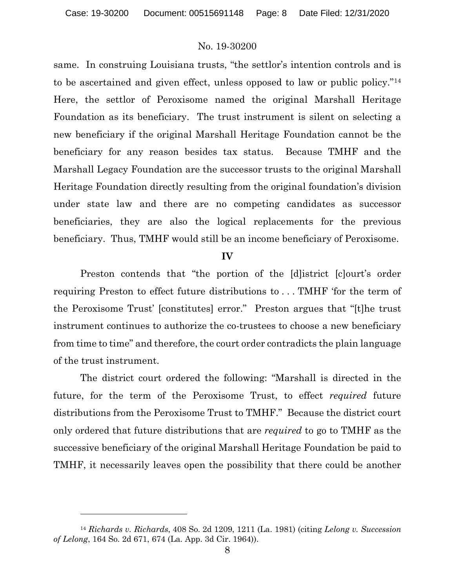same. In construing Louisiana trusts, "the settlor's intention controls and is to be ascertained and given effect, unless opposed to law or public policy.["14](#page-7-0) Here, the settlor of Peroxisome named the original Marshall Heritage Foundation as its beneficiary. The trust instrument is silent on selecting a new beneficiary if the original Marshall Heritage Foundation cannot be the beneficiary for any reason besides tax status. Because TMHF and the Marshall Legacy Foundation are the successor trusts to the original Marshall Heritage Foundation directly resulting from the original foundation's division under state law and there are no competing candidates as successor beneficiaries, they are also the logical replacements for the previous beneficiary. Thus, TMHF would still be an income beneficiary of Peroxisome.

#### **IV**

Preston contends that "the portion of the [d]istrict [c]ourt's order requiring Preston to effect future distributions to . . . TMHF 'for the term of the Peroxisome Trust' [constitutes] error." Preston argues that "[t]he trust instrument continues to authorize the co-trustees to choose a new beneficiary from time to time" and therefore, the court order contradicts the plain language of the trust instrument.

The district court ordered the following: "Marshall is directed in the future, for the term of the Peroxisome Trust, to effect *required* future distributions from the Peroxisome Trust to TMHF." Because the district court only ordered that future distributions that are *required* to go to TMHF as the successive beneficiary of the original Marshall Heritage Foundation be paid to TMHF, it necessarily leaves open the possibility that there could be another

<span id="page-7-0"></span><sup>14</sup> *Richards v. Richards*, 408 So. 2d 1209, 1211 (La. 1981) (citing *Lelong v. Succession of Lelong*, 164 So. 2d 671, 674 (La. App. 3d Cir. 1964)).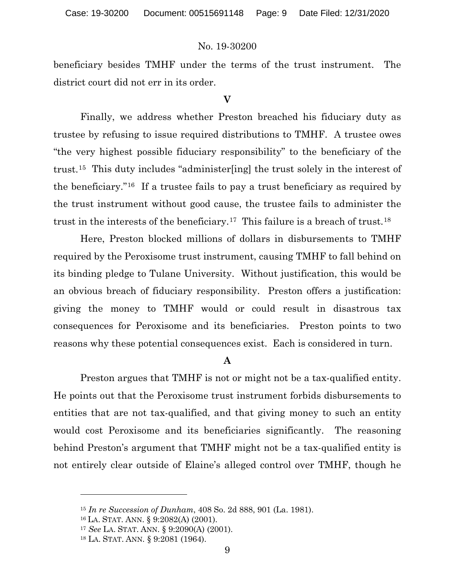beneficiary besides TMHF under the terms of the trust instrument. The district court did not err in its order.

### **V**

Finally, we address whether Preston breached his fiduciary duty as trustee by refusing to issue required distributions to TMHF. A trustee owes "the very highest possible fiduciary responsibility" to the beneficiary of the trust.[15](#page-8-0) This duty includes "administer[ing] the trust solely in the interest of the beneficiary."[16](#page-8-1) If a trustee fails to pay a trust beneficiary as required by the trust instrument without good cause, the trustee fails to administer the trust in the interests of the beneficiary.[17](#page-8-2) This failure is a breach of trust.[18](#page-8-3)

Here, Preston blocked millions of dollars in disbursements to TMHF required by the Peroxisome trust instrument, causing TMHF to fall behind on its binding pledge to Tulane University. Without justification, this would be an obvious breach of fiduciary responsibility. Preston offers a justification: giving the money to TMHF would or could result in disastrous tax consequences for Peroxisome and its beneficiaries. Preston points to two reasons why these potential consequences exist. Each is considered in turn.

# **A**

Preston argues that TMHF is not or might not be a tax-qualified entity. He points out that the Peroxisome trust instrument forbids disbursements to entities that are not tax-qualified, and that giving money to such an entity would cost Peroxisome and its beneficiaries significantly. The reasoning behind Preston's argument that TMHF might not be a tax-qualified entity is not entirely clear outside of Elaine's alleged control over TMHF, though he

<span id="page-8-0"></span><sup>15</sup> *In re Succession of Dunham*, 408 So. 2d 888, 901 (La. 1981).

<span id="page-8-1"></span><sup>16</sup> LA. STAT. ANN. § 9:2082(A) (2001).

<span id="page-8-2"></span><sup>17</sup> *See* LA. STAT. ANN. § 9:2090(A) (2001).

<span id="page-8-3"></span><sup>18</sup> LA. STAT. ANN. § 9:2081 (1964).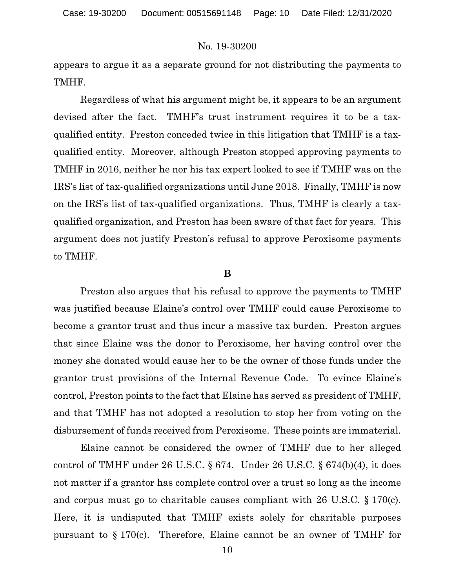appears to argue it as a separate ground for not distributing the payments to TMHF.

Regardless of what his argument might be, it appears to be an argument devised after the fact. TMHF's trust instrument requires it to be a taxqualified entity. Preston conceded twice in this litigation that TMHF is a taxqualified entity. Moreover, although Preston stopped approving payments to TMHF in 2016, neither he nor his tax expert looked to see if TMHF was on the IRS's list of tax-qualified organizations until June 2018. Finally, TMHF is now on the IRS's list of tax-qualified organizations. Thus, TMHF is clearly a taxqualified organization, and Preston has been aware of that fact for years. This argument does not justify Preston's refusal to approve Peroxisome payments to TMHF.

#### **B**

Preston also argues that his refusal to approve the payments to TMHF was justified because Elaine's control over TMHF could cause Peroxisome to become a grantor trust and thus incur a massive tax burden. Preston argues that since Elaine was the donor to Peroxisome, her having control over the money she donated would cause her to be the owner of those funds under the grantor trust provisions of the Internal Revenue Code. To evince Elaine's control, Preston points to the fact that Elaine has served as president of TMHF, and that TMHF has not adopted a resolution to stop her from voting on the disbursement of funds received from Peroxisome. These points are immaterial.

Elaine cannot be considered the owner of TMHF due to her alleged control of TMHF under 26 U.S.C.  $\S 674$ . Under 26 U.S.C.  $\S 674(b)(4)$ , it does not matter if a grantor has complete control over a trust so long as the income and corpus must go to charitable causes compliant with 26 U.S.C. § 170(c). Here, it is undisputed that TMHF exists solely for charitable purposes pursuant to  $\S 170(c)$ . Therefore, Elaine cannot be an owner of TMHF for